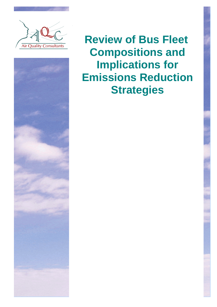

ì



**Review of Bus Fleet Compositions and Implications for Emissions Reduction Strategies**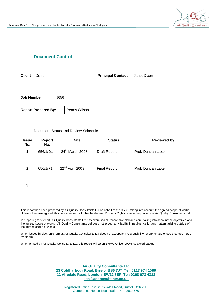

### **Document Control**

| <b>Client</b> | Defra | <b>Principal Contact</b> | Janet Dixon |
|---------------|-------|--------------------------|-------------|
|               |       |                          |             |
|               |       |                          |             |

| Job Number                 | J656 |              |
|----------------------------|------|--------------|
|                            |      |              |
| <b>Report Prepared By:</b> |      | Penny Wilson |

#### Document Status and Review Schedule

| <b>Issue</b><br>No. | <b>Report</b><br>No. | <b>Date</b>                 | <b>Status</b>       | <b>Reviewed by</b> |
|---------------------|----------------------|-----------------------------|---------------------|--------------------|
| 1                   | 656/1/D1             | 24 <sup>th</sup> March 2008 | <b>Draft Report</b> | Prof. Duncan Laxen |
| $\overline{2}$      | 656/1/F1             | 22 <sup>nd</sup> April 2009 | <b>Final Report</b> | Prof. Duncan Laxen |
| 3                   |                      |                             |                     |                    |

This report has been prepared by Air Quality Consultants Ltd on behalf of the Client, taking into account the agreed scope of works. Unless otherwise agreed, this document and all other Intellectual Property Rights remain the property of Air Quality Consultants Ltd.

In preparing this report, Air Quality Consultants Ltd has exercised all reasonable skill and care, taking into account the objectives and the agreed scope of works. Air Quality Consultants Ltd does not accept any liability in negligence for any matters arising outside of the agreed scope of works.

When issued in electronic format, Air Quality Consultants Ltd does not accept any responsibility for any unauthorised changes made by others.

When printed by Air Quality Consultants Ltd, this report will be on Evolve Office, 100% Recycled paper.

#### **Air Quality Consultants Ltd 23 Coldharbour Road, Bristol BS6 7JT Tel: 0117 974 1086 12 Airedale Road, London SW12 8SF Tel: 0208 673 4313 [aqc@aqconsultants.co.uk](mailto:aqc@aqconsultants.co.uk)**

Registered Office: 12 St Oswalds Road, Bristol, BS6 7HT Companies House Registration No: 2814570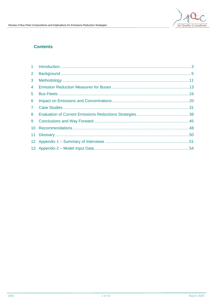## **Contents**

| 1              |  |
|----------------|--|
| $\overline{2}$ |  |
| 3              |  |
| 4              |  |
| 5              |  |
| 6              |  |
| $7^{\circ}$    |  |
| 8              |  |
| 9              |  |
| 10             |  |
| 11             |  |
|                |  |
|                |  |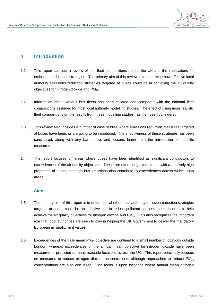

## **1 Introduction**

- 1.1 This report sets out a review of bus fleet compositions across the UK and the implications for emissions reductions strategies. The primary aim of this review is to determine how effective local authority emissions reduction strategies targeted at buses could be in achieving the air quality objectives for nitrogen dioxide and  $PM_{10}$ .
- 1.2 Information about various bus fleets has been collated and compared with the national fleet compositions assumed for most local authority modelling studies. The effect of using more realistic fleet compositions on the results from these modelling studies has then been considered.
- 1.3 This review also includes a number of case studies where emissions reduction measures targeted at buses have been, or are going to be introduced. The effectiveness of these strategies has been considered, along with any barriers to, and lessons learnt from the introduction of specific measures.
- 1.4 The report focuses on areas where buses have been identified as significant contributors to exceedences of the air quality objectives. These are often congested streets with a relatively high proportion of buses, although bus emissions also contribute to exceedences across wider urban areas.

#### **Aims**

- 1.5 The primary aim of this report is to determine whether local authority emission reduction strategies targeted at buses could be an effective tool to reduce pollutant concentrations, in order to help achieve the air quality objectives for nitrogen dioxide and  $PM_{10}$ . This also recognises the important role that local authorities are seen to play in helping the UK Government to deliver the mandatory European air quality limit values. .
- 1.6 Exceedences of the daily mean  $PM_{10}$  objective are confined to a small number of locations outside London, whereas exceedences of the annual mean objective for nitrogen dioxide have been measured or predicted at many roadside locations across the UK. This report principally focuses on measures to reduce nitrogen dioxide concentrations, although approaches to reduce  $PM_{10}$ concentrations are also discussed. The focus is upon locations where annual mean nitrogen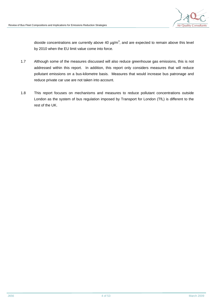

dioxide concentrations are currently above 40  $\mu$ g/m<sup>3</sup>, and are expected to remain above this level by 2010 when the EU limit value come into force.

- 1.7 Although some of the measures discussed will also reduce greenhouse gas emissions, this is not addressed within this report. In addition, this report only considers measures that will reduce pollutant emissions on a bus-kilometre basis. Measures that would increase bus patronage and reduce private car use are not taken into account.
- 1.8 This report focuses on mechanisms and measures to reduce pollutant concentrations outside London as the system of bus regulation imposed by Transport for London (TfL) is different to the rest of the UK.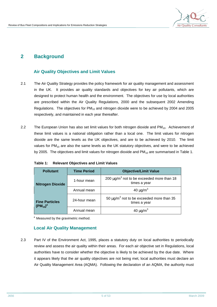

## **2 Background**

### **Air Quality Objectives and Limit Values**

- 2.1 The Air Quality Strategy provides the policy framework for air quality management and assessment in the UK. It provides air quality standards and objectives for key air pollutants, which are designed to protect human health and the environment. The objectives for use by local authorities are prescribed within the Air Quality Regulations, 2000 and the subsequent 2002 Amending Regulations. The objectives for  $PM_{10}$  and nitrogen dioxide were to be achieved by 2004 and 2005 respectively, and maintained in each year thereafter.
- 2.2 The European Union has also set limit values for both nitrogen dioxide and PM<sub>10</sub>. Achievement of these limit values is a national obligation rather than a local one. The limit values for nitrogen dioxide are the same levels as the UK objectives, and are to be achieved by 2010. The limit values for  $PM_{10}$  are also the same levels as the UK statutory objectives, and were to be achieved by 2005. The objectives and limit values for nitrogen dioxide and  $PM_{10}$  are summarised in Table 1.

| <b>Time Period</b><br><b>Pollutant</b> |              | <b>Objective/Limit Value</b>                                               |  |  |
|----------------------------------------|--------------|----------------------------------------------------------------------------|--|--|
| <b>Nitrogen Dioxide</b>                | 1-hour mean  | 200 $\mu$ g/m <sup>3</sup> not to be exceeded more than 18<br>times a year |  |  |
|                                        | Annual mean  | 40 $\mu$ g/m <sup>3</sup>                                                  |  |  |
| <b>Fine Particles</b><br>$(PM_{10})^a$ | 24-hour mean | 50 $\mu$ g/m <sup>3</sup> not to be exceeded more than 35<br>times a year  |  |  |
|                                        | Annual mean  | 40 $\mu$ g/m <sup>3</sup>                                                  |  |  |

<sup>a</sup> Measured by the gravimetric method.

### **Local Air Quality Management**

2.3 Part IV of the Environment Act, 1995, places a statutory duty on local authorities to periodically review and assess the air quality within their areas. For each air objective set in Regulations, local authorities have to consider whether the objective is likely to be achieved by the due date. Where it appears likely that the air quality objectives are not being met, local authorities must declare an Air Quality Management Area (AQMA). Following the declaration of an AQMA, the authority must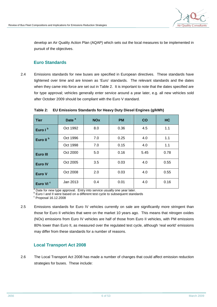

develop an Air Quality Action Plan (AQAP) which sets out the local measures to be implemented in pursuit of the objectives.

### **Euro Standards**

2.4 Emissions standards for new buses are specified in European directives. These standards have tightened over time and are known as 'Euro' standards. The relevant standards and the dates when they came into force are set out in Table 2. It is important to note that the dates specified are for type approval; vehicles generally enter service around a year later, e.g. all new vehicles sold after October 2009 should be compliant with the Euro V standard.

| <b>Tier</b>          | Date <sup>a</sup> | <b>NOx</b> | <b>PM</b> | <b>CO</b> | <b>HC</b> |
|----------------------|-------------------|------------|-----------|-----------|-----------|
| Euro I <sup>b</sup>  | Oct 1992          | 8.0        | 0.36      | 4.5       | 1.1       |
| Euro II <sup>b</sup> | Oct 1996          | 7.0        | 0.25      | 4.0       | 1.1       |
|                      | Oct 1998          | 7.0        | 0.15      | 4.0       | 1.1       |
| <b>Euro III</b>      | Oct 2000          | 5.0        | 0.16      | 5.45      | 0.78      |
| <b>Euro IV</b>       | Oct 2005          | 3.5        | 0.03      | 4.0       | 0.55      |
| Euro V               | Oct 2008          | 2.0        | 0.03      | 4.0       | 0.55      |
| Euro VI <sup>c</sup> | Jan 2013          | 0.4        | 0.01      | 4.0       | 0.16      |

**Table 2: EU Emissions Standards for Heavy Duty Diesel Engines (g/kWh)** 

<sup>a</sup> Date for new type approval. Entry into service usually one year later.

<sup>b</sup> Euro I and II were based on a different test cycle to subsequent standards

 $\textdegree$  Proposal 16.12.2008

2.5 Emissions standards for Euro IV vehicles currently on sale are significantly more stringent than those for Euro II vehicles that were on the market 10 years ago. This means that nitrogen oxides (NOx) emissions from Euro IV vehicles are half of those from Euro II vehicles, with PM emissions 80% lower than Euro II, as measured over the regulated test cycle, although 'real world' emissions may differ from these standards for a number of reasons.

### **Local Transport Act 2008**

2.6 The Local Transport Act 2008 has made a number of changes that could affect emission reduction strategies for buses. These include: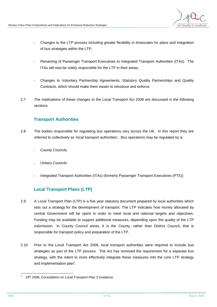

- Changes to the LTP process including greater flexibility in timescales for plans and integration of bus strategies within the LTP;
- Renaming of Passenger Transport Executives to Integrated Transport Authorities (ITAs). The ITAs will now be solely responsible for the LTP in their areas;
- Changes to Voluntary Partnership Agreements, Statutory Quality Partnerships and Quality Contracts, which should make them easier to introduce and enforce.
- 2.7 The implications of these changes to the Local Transport Act 2008 are discussed in the following sections.

### **Transport Authorities**

- 2.8 The bodies responsible for regulating bus operations vary across the UK. In this report they are referred to collectively as 'local transport authorities'. Bus operations may be regulated by a:
	- County Councils
	- **Unitary Councils**
	- Integrated Transport Authorities (ITAs) (formerly Passenger Transport Executives (PTE))

## **Local Transport Plans (LTP)**

- 2.9 A Local Transport Plan (LTP) is a five year statutory document prepared by local authorities which sets out a strategy for the development of transport. The LTP indicates how money allocated by central Government will be spent in order to meet local and national targets and objectives. Funding may be available to support additional measures, depending upon the quality of the LTP submission. In County Council areas, it is the County, rather than District Council, that is responsible for transport policy and preparation of the LTP.
- 2.10 Prior to the Local Transport Act 2008, local transport authorities were required to include bus strategies as part of the LTP process. The Act has removed the requirement for a separate bus strategy, with the intent to more effectively integrate these measures into the core LTP strategy and implementation plan $1$ .

l DfT 2008, Consultation on Local Transport Plan 3 Guidance.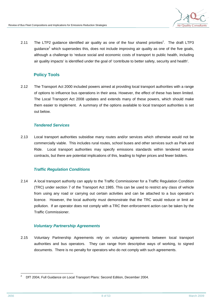

2.11 The LTP2 guidance identified air quality as one of the four shared priorities<sup>2</sup>. The draft LTP3 quidance<sup>1</sup> which supersedes this, does not include improving air quality as one of the five goals, although a challenge to 'reduce social and economic costs of transport to public health, including air quality impacts' is identified under the goal of 'contribute to better safety, security and health'.

## **Policy Tools**

2.12 The Transport Act 2000 included powers aimed at providing local transport authorities with a range of options to influence bus operations in their area. However, the effect of these has been limited. The Local Transport Act 2008 updates and extends many of these powers, which should make them easier to implement. A summary of the options available to local transport authorities is set out below.

### *Tendered Services*

2.13 Local transport authorities subsidise many routes and/or services which otherwise would not be commercially viable. This includes rural routes, school buses and other services such as Park and Ride. Local transport authorities may specify emissions standards within tendered service contracts, but there are potential implications of this, leading to higher prices and fewer bidders.

### *Traffic Regulation Conditions*

2.14 A local transport authority can apply to the Traffic Commissioner for a Traffic Regulation Condition (TRC) under section 7 of the Transport Act 1985. This can be used to restrict any class of vehicle from using any road or carrying out certain activities and can be attached to a bus operator's licence. However, the local authority must demonstrate that the TRC would reduce or limit air pollution. If an operator does not comply with a TRC then enforcement action can be taken by the Traffic Commissioner.

### *Voluntary Partnership Agreements*

2.15 Voluntary Partnership Agreements rely on voluntary agreements between local transport authorities and bus operators. They can range from descriptive ways of working, to signed documents. There is no penalty for operators who do not comply with such agreements.

l <sup>2</sup> DfT 2004, Full Guidance on Local Transport Plans: Second Edition, December 2004.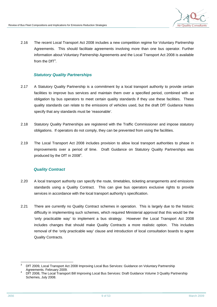

2.16 The recent Local Transport Act 2008 includes a new competition regime for Voluntary Partnership Agreements. This should facilitate agreements involving more than one bus operator. Further information about Voluntary Partnership Agreements and the Local Transport Act 2008 is available from the DfT $3$ .

### *Statutory Quality Partnerships*

- 2.17 A Statutory Quality Partnership is a commitment by a local transport authority to provide certain facilities to improve bus services and maintain them over a specified period, combined with an obligation by bus operators to meet certain quality standards if they use these facilities. These quality standards can relate to the emissions of vehicles used, but the draft DfT Guidance Notes specify that any standards must be 'reasonable'.
- 2.18 Statutory Quality Partnerships are registered with the Traffic Commissioner and impose statutory obligations. If operators do not comply, they can be prevented from using the facilities.
- 2.19 The Local Transport Act 2008 includes provision to allow local transport authorities to phase in improvements over a period of time. Draft Guidance on Statutory Quality Partnerships was produced by the DfT in  $2008<sup>4</sup>$ .

#### *Quality Contract*

- 2.20 A local transport authority can specify the route, timetables, ticketing arrangements and emissions standards using a Quality Contract. This can give bus operators exclusive rights to provide services in accordance with the local transport authority's specification.
- 2.21 There are currently no Quality Contract schemes in operation. This is largely due to the historic difficulty in implementing such schemes, which required Ministerial approval that this would be the 'only practicable way' to implement a bus strategy. However the Local Transport Act 2008 includes changes that should make Quality Contracts a more realistic option. This includes removal of the 'only practicable way' clause and introduction of local consultation boards to agree Quality Contracts.

l <sup>3</sup> DfT 2009, Local Transport Act 2008 Improving Local Bus Services: Guidance on Voluntary Partnership Agreements. February 2009.

DfT 2008, The Local Transport Bill Improving Local Bus Services: Draft Guidance Volume 3 Quality Partnership Schemes, July 2008.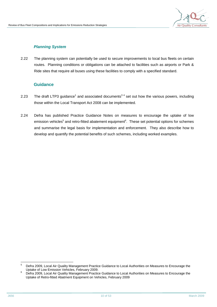

### *Planning System*

2.22 The planning system can potentially be used to secure improvements to local bus fleets on certain routes. Planning conditions or obligations can be attached to facilities such as airports or Park & Ride sites that require all buses using these facilities to comply with a specified standard.

### **Guidance**

- 2.23 The draft LTP3 guidance<sup>1</sup> and associated documents<sup>34</sup> set out how the various powers, including those within the Local Transport Act 2008 can be implemented.
- 2.24 Defra has published Practice Guidance Notes on measures to encourage the uptake of low emission vehicles<sup>5</sup> and retro-fitted abatement equipment<sup>6</sup>. These set potential options for schemes and summarise the legal basis for implementation and enforcement. They also describe how to develop and quantify the potential benefits of such schemes, including worked examples.

l <sup>5</sup> Defra 2009, Local Air Quality Management Practice Guidance to Local Authorities on Measures to Encourage the Uptake of Low Emission Vehicles, February 2009.

<sup>6</sup> Defra 2009, Local Air Quality Management Practice Guidance to Local Authorities on Measures to Encourage the Uptake of Retro-fitted Abatment Equipment on Vehicles, February 2009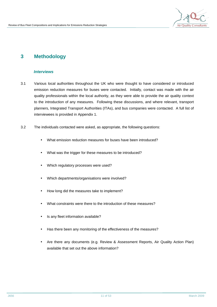

## **3 Methodology**

#### *Interviews*

- 3.1 Various local authorities throughout the UK who were thought to have considered or introduced emission reduction measures for buses were contacted. Initially, contact was made with the air quality professionals within the local authority, as they were able to provide the air quality context to the introduction of any measures. Following these discussions, and where relevant, transport planners, Integrated Transport Authorities (ITAs), and bus companies were contacted. A full list of interviewees is provided in Appendix 1.
- 3.2 The individuals contacted were asked, as appropriate, the following questions:
	- What emission reduction measures for buses have been introduced?
	- What was the trigger for these measures to be introduced?
	- Which regulatory processes were used?
	- Which departments/organisations were involved?
	- How long did the measures take to implement?
	- What constraints were there to the introduction of these measures?
	- Is any fleet information available?
	- Has there been any monitoring of the effectiveness of the measures?
	- Are there any documents (e.g. Review & Assessment Reports, Air Quality Action Plan) available that set out the above information?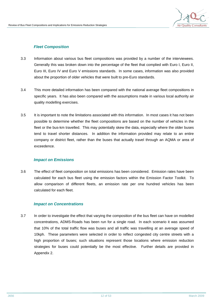

#### *Fleet Composition*

- 3.3 Information about various bus fleet compositions was provided by a number of the interviewees. Generally this was broken down into the percentage of the fleet that complied with Euro I, Euro II, Euro III, Euro IV and Euro V emissions standards. In some cases, information was also provided about the proportion of older vehicles that were built to pre-Euro standards.
- 3.4 This more detailed information has been compared with the national average fleet compositions in specific years. It has also been compared with the assumptions made in various local authority air quality modelling exercises.
- 3.5 It is important to note the limitations associated with this information. In most cases it has not been possible to determine whether the fleet compositions are based on the number of vehicles in the fleet or the bus-km travelled. This may potentially skew the data, especially where the older buses tend to travel shorter distances. In addition the information provided may relate to an entire company or district fleet, rather than the buses that actually travel through an AQMA or area of exceedence.

#### *Impact on Emissions*

3.6 The effect of fleet composition on total emissions has been considered. Emission rates have been calculated for each bus fleet using the emission factors within the Emission Factor Toolkit. To allow comparison of different fleets, an emission rate per one hundred vehicles has been calculated for each fleet.

#### *Impact on Concentrations*

3.7 In order to investigate the effect that varying the composition of the bus fleet can have on modelled concentrations, ADMS-Roads has been run for a single road. In each scenario it was assumed that 10% of the total traffic flow was buses and all traffic was travelling at an average speed of 10kph. These parameters were selected in order to reflect congested city centre streets with a high proportion of buses; such situations represent those locations where emission reduction strategies for buses could potentially be the most effective. Further details are provided in Appendix 2.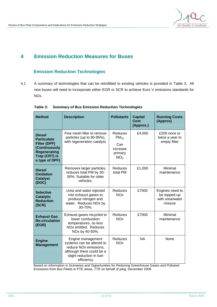

## **4 Emission Reduction Measures for Buses**

## **Emission Reduction Technologies**

4.1 A summary of technologies that can be retrofitted to existing vehicles is provided in Table 3. All new buses will need to incorporate either EGR or SCR to achieve Euro V emissions standards for NOx.

| <b>Method</b>                                                                                                                                                                                    | <b>Description</b>                                                                                                           | <b>Pollutants</b>                                                            | <b>Capital</b><br>Cost<br>(Approx.) | <b>Running Costs</b><br>(Approx)                              |
|--------------------------------------------------------------------------------------------------------------------------------------------------------------------------------------------------|------------------------------------------------------------------------------------------------------------------------------|------------------------------------------------------------------------------|-------------------------------------|---------------------------------------------------------------|
| <b>Diesel</b><br><b>Particulate</b><br><b>Filter (DPF)</b><br>(Continuously<br><b>Regenerating</b><br>Trap (CRT) is<br>a type of DPF)                                                            | Fine mesh filter to remove<br>particles (up to 90-95%),<br>with regeneration catalyst.                                       | <b>Reduces</b><br>$PM_{10}$<br>Can<br>increase<br>primary<br>NO <sub>2</sub> | £4,000                              | £200 once or<br>twice a year to<br>empty filter               |
| <b>Diesel</b><br><b>Oxidation</b><br><b>Catalyst</b><br>(DOC)                                                                                                                                    | Removes larger particles,<br>reduces total PM by 30-<br>50%. Suitable for older<br>vehicles.                                 | Reduces<br>total PM                                                          | £1,000                              | Minimal<br>maintenance                                        |
| <b>Selective</b><br><b>Catalytic</b><br><b>Reduction</b><br>(SCR)                                                                                                                                | Urea and water injected<br>into exhaust gases to<br>produce nitrogen and<br>water. Reduces NOx by<br>30-70%.                 | Reduces<br><b>NO<sub>x</sub></b>                                             | £7000                               | Engines need to<br>be topped up<br>with urea/water<br>mixture |
| <b>Exhaust Gas</b><br><b>Re-circulation</b><br>(EGR)                                                                                                                                             | Exhaust gases recycled to<br>lower combustion<br>temperatures, so less<br>NO <sub>x</sub> emitted. Reduces<br>NOx by 40-50%. |                                                                              | £7000                               | Minimal<br>maintenance                                        |
| Engine management<br><b>Engine</b><br>systems can be altered to<br><b>Management</b><br>reduce NO <sub>x</sub> emissions,<br>although there could be a<br>slight reduction in fuel<br>efficiency |                                                                                                                              | Reduces<br><b>NO<sub>x</sub></b>                                             | <b>NA</b>                           | None                                                          |

|  |  | Table 3: Summary of Bus Emission Reduction Technologies |  |  |
|--|--|---------------------------------------------------------|--|--|
|--|--|---------------------------------------------------------|--|--|

Based on information in Scenarios and Opportunities for Reducing Greenhouse Gases and Pollutant Emissions from Bus Fleets in PTE areas, TTR on behalf of pteg, December 2008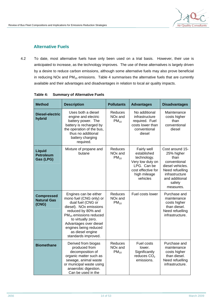### **Alternative Fuels**

4.2 To date, most alternative fuels have only been used on a trial basis. However, their use is anticipated to increase, as the technology improves. The use of these alternatives is largely driven by a desire to reduce carbon emissions, although some alternative fuels may also prove beneficial in reducing NOx and  $PM_{10}$  emissions. Table 4 summarises the alternative fuels that are currently available and their advantages and disadvantages in relation to local air quality impacts.

| <b>Method</b>                                    | <b>Description</b>                                                                                                                                                                                                                                                       | <b>Pollutants</b>                           | <b>Advantages</b>                                                                                                              | <b>Disadvantages</b>                                                                                                                                    |
|--------------------------------------------------|--------------------------------------------------------------------------------------------------------------------------------------------------------------------------------------------------------------------------------------------------------------------------|---------------------------------------------|--------------------------------------------------------------------------------------------------------------------------------|---------------------------------------------------------------------------------------------------------------------------------------------------------|
| Diesel-electric<br>hybrid                        | Uses both a diesel<br>engine and electric<br>battery power. The<br>battery is recharged by<br>the operation of the bus,<br>thus no additional<br>battery charging<br>required.                                                                                           | Reduces<br>NO <sub>x</sub> and<br>$PM_{10}$ | No additional<br>infrastructure<br>required. Fuel<br>costs lower than<br>conventional<br>diesel                                | Maintenance<br>costs higher<br>than<br>conventional<br>diesel                                                                                           |
| <b>Liquid</b><br><b>Petroleum</b><br>Gas (LPG)   | Mixture of propane and<br>butane                                                                                                                                                                                                                                         | Reduces<br>NO <sub>x</sub> and<br>$PM_{10}$ | Fairly well<br>established<br>technology.<br>Very low duty on<br>LPG. Can be<br>cost effective for<br>high mileage<br>vehicles | Cost around 15-<br>25% higher<br>than<br>conventional<br>diesel vehicles.<br>Need refuelling<br>infrastructure<br>and additional<br>safety<br>measures. |
| <b>Compressed</b><br><b>Natural Gas</b><br>(CNG) | Engines can be either<br>mono fuel (CNG only) or<br>dual fuel (CNG or<br>diesel). NOx emissions<br>reduced by 80% and<br>$PM_{10}$ emissions reduced<br>to virtually zero.<br>Advantages over diesel<br>engines being reduced<br>as diesel engine<br>standards improved. | Reduces<br>NO <sub>x</sub> and<br>$PM_{10}$ | Fuel costs lower                                                                                                               | Purchase and<br>maintenance<br>costs higher<br>than diesel.<br>Need refuelling<br>infrastructure.                                                       |
| <b>Biomethane</b>                                | Derived from biogas<br>produced from<br>decomposition of<br>organic matter such as<br>sewage, animal waste<br>or municipal waste using<br>anaerobic digestion.<br>Can be used in the                                                                                     | Reduces<br>NO <sub>x</sub> and<br>$PM_{10}$ | Fuel costs<br>lower.<br>Significantly<br>reduces CO <sub>2</sub><br>emissions.                                                 | Purchase and<br>maintenance<br>costs higher<br>than diesel.<br>Need refuelling<br>infrastructure.                                                       |

**Table 4: Summary of Alternative Fuels**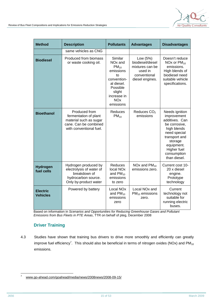

| <b>Method</b>                      | <b>Description</b>                                                                                                   | <b>Pollutants</b>                                                                                                                                                      | <b>Advantages</b>                                                                             | <b>Disadvantages</b>                                                                                                                                                                    |
|------------------------------------|----------------------------------------------------------------------------------------------------------------------|------------------------------------------------------------------------------------------------------------------------------------------------------------------------|-----------------------------------------------------------------------------------------------|-----------------------------------------------------------------------------------------------------------------------------------------------------------------------------------------|
|                                    | same vehicles as CNG                                                                                                 |                                                                                                                                                                        |                                                                                               |                                                                                                                                                                                         |
| <b>Biodiesel</b>                   | Produced from biomass<br>or waste cooking oil.                                                                       | Similar<br>NO <sub>x</sub> and<br>$PM_{10}$<br>emissions<br>to<br>convention-<br>al diesel.<br>Possible<br>slight<br>increase in<br><b>NO<sub>x</sub></b><br>emissions | Low (5%)<br>biodiesel/diesel<br>mixtures can be<br>used in<br>conventional<br>diesel engines. | Doesn't reduce<br>NOx or $PM_{10}$<br>emissions.<br>High blends of<br>biodiesel need<br>suitable vehicle<br>specifications.                                                             |
| <b>Bioethanol</b>                  | Produced from<br>fermentation of plant<br>material such as sugar<br>cane. Can be combined<br>with conventional fuel. | Reduces<br>$PM_{10}$                                                                                                                                                   | Reduces CO <sub>2</sub><br>emissions                                                          | Needs ignition<br>improvement<br>additives. Can<br>be corrosive,<br>high blends<br>need special<br>transport and<br>storage<br>equipment.<br>Higher fuel<br>consumption<br>than diesel. |
| <b>Hydrogen</b><br>fuel cells      | Hydrogen produced by<br>electrolysis of water of<br>breakdown of<br>hydrocarbon source.<br>Only by-product water     | <b>Reduces</b><br>local NO <sub>x</sub><br>and $PM_{10}$<br>emissions<br>to zero                                                                                       | NOx and $PM_{10}$<br>emissions zero.                                                          | Current cost 10-<br>20 x diesel<br>engine.<br>Prototype<br>technology                                                                                                                   |
| <b>Electric</b><br><b>Vehicles</b> | Powered by battery                                                                                                   | Local NO <sub>x</sub><br>and $PM_{10}$<br>emissions<br>zero                                                                                                            | Local NO <sub>x</sub> and<br>$PM_{10}$ emissions<br>zero.                                     | Current<br>technology not<br>suitable for<br>running electric<br>buses.                                                                                                                 |

Based on information in *Scenarios and Opportunities for Reducing Greenhouse Gases and Pollutant Emissions from Bus Fleets in PTE Areas*, TTR on behalf of pteg, December 2008

### **Driver Training**

4.3 Studies have shown that training bus drivers to drive more smoothly and efficiently can greatly improve fuel efficiency<sup>7</sup>. This should also be beneficial in terms of nitrogen oxides (NOx) and PM<sub>10</sub> emissions.

<sup>-&</sup>lt;br>7 [www.go-ahead.com/goahead/media/news/2008news/2008-09-15/](http://www.go-ahead.com/goahead/media/news/2008news/2008-09-15/)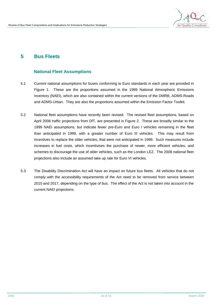

## **5 Bus Fleets**

### **National Fleet Assumptions**

- 5.1 Current national assumptions for buses conforming to Euro standards in each year are provided in Figure 1. These are the proportions assumed in the 1999 National Atmospheric Emissions Inventory (NAEI), which are also contained within the current versions of the DMRB, ADMS-Roads and ADMS-Urban. They are also the proportions assumed within the Emission Factor Toolkit.
- 5.2 National fleet assumptions have recently been revised. The revised fleet assumptions, based on April 2008 traffic projections from DfT, are presented in Figure 2. These are broadly similar to the 1999 NAEI assumptions, but indicate fewer pre-Euro and Euro I vehicles remaining in the fleet than anticipated in 1999, with a greater number of Euro III vehicles. This may result from incentives to replace the older vehicles, that were not anticipated in 1999. Such measures include increases in fuel costs, which incentivises the purchase of newer, more efficient vehicles, and schemes to discourage the use of older vehicles, such as the London LEZ. The 2008 national fleet projections also include an assumed take up rate for Euro VI vehicles.
- 5.3 The Disability Discrimination Act will have an impact on future bus fleets. All vehicles that do not comply with the accessibility requirements of the Act need to be removed from service between 2015 and 2017, depending on the type of bus. The effect of the Act is not taken into account in the current NAEI projections.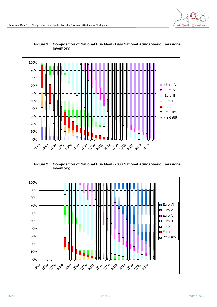



#### **Figure 1: Composition of National Bus Fleet (1999 National Atmospheric Emissions Inventory)**

**Figure 2: Composition of National Bus Fleet (2008 National Atmospheric Emissions Inventory)** 

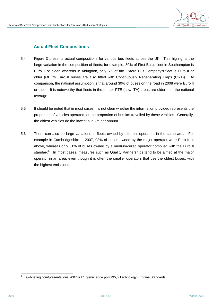### **Actual Fleet Compositions**

- 5.4 Figure 3 presents actual compositions for various bus fleets across the UK. This highlights the large variation in the composition of fleets; for example, 80% of First Bus's fleet in Southampton is Euro II or older, whereas in Abingdon, only 6% of the Oxford Bus Company's fleet is Euro II or older (OBC's Euro II buses are also fitted with Continuously Regenerating Traps (CRT)). By comparison, the national assumption is that around 30% of buses on the road in 2008 were Euro II or older. It is noteworthy that fleets in the former PTE (now ITA) areas are older than the national average.
- 5.5 It should be noted that in most cases it is not clear whether the information provided represents the proportion of vehicles operated, or the proportion of bus-km travelled by these vehicles. Generally, the oldest vehicles do the lowest bus-km per annum.
- 5.6 There can also be large variations in fleets owned by different operators in the same area. For example in Cambridgeshire in 2007, 98% of buses owned by the major operator were Euro II or above, whereas only 31% of buses owned by a medium-sized operator complied with the Euro II standard<sup>8</sup>. In most cases, measures such as Quality Partnerships tend to be aimed at the major operator in an area, even though it is often the smaller operators that use the oldest buses, with the highest emissions.

l 8 awbriefing.com/presentations/20070717\_glenn\_edge.ppt#295,5,Technology - Engine Standards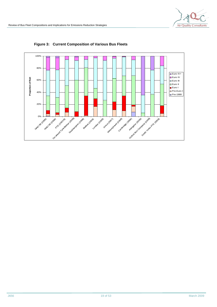

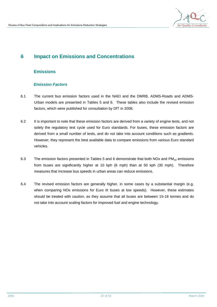

## **6 Impact on Emissions and Concentrations**

### **Emissions**

### *Emission Factors*

- 6.1 The current bus emission factors used in the NAEI and the DMRB, ADMS-Roads and ADMS-Urban models are presented in Tables 5 and 6. These tables also include the revised emission factors, which were published for consultation by DfT in 2008.
- 6.2 It is important to note that these emission factors are derived from a variety of engine tests, and not solely the regulatory test cycle used for Euro standards. For buses, these emission factors are derived from a small number of tests, and do not take into account conditions such as gradients. However, they represent the best available data to compare emissions from various Euro standard vehicles.
- 6.3 The emission factors presented in Tables 5 and 6 demonstrate that both NOx and  $PM_{10}$  emissions from buses are significantly higher at 10 kph (6 mph) than at 50 kph (30 mph). Therefore measures that increase bus speeds in urban areas can reduce emissions.
- 6.4 The revised emission factors are generally higher, in some cases by a substantial margin (e.g. when comparing NOx emissions for Euro III buses at low speeds). However, these estimates should be treated with caution, as they assume that all buses are between 15-18 tonnes and do not take into account scaling factors for improved fuel and engine technology.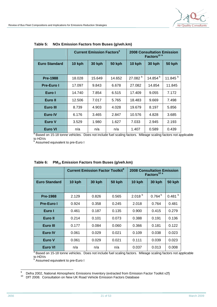|                      | <b>Current Emission Factors<sup>9</sup></b>     |        |               | <b>2008 Consultation Emission</b><br>Factors <sup>10 a</sup> |                   |                     |
|----------------------|-------------------------------------------------|--------|---------------|--------------------------------------------------------------|-------------------|---------------------|
| <b>Euro Standard</b> | <b>30 kph</b><br><b>50 kph</b><br><b>10 kph</b> |        | <b>10 kph</b> | <b>30 kph</b>                                                | <b>50 kph</b>     |                     |
| <b>Pre-1988</b>      | 18.028                                          | 15.649 | 14.652        | 27.082 <sup>b</sup>                                          | 14.854 $^{\rm b}$ | 11.845 <sup>b</sup> |
|                      |                                                 |        |               |                                                              |                   |                     |
| <b>Pre-Euro I</b>    | 17.097                                          | 9.843  | 6.678         | 27.082                                                       | 14.854            | 11.845              |
| Euro I               | 14.740                                          | 7.854  | 6.515         | 17.409                                                       | 9.055             | 7.172               |
| Euro II              | 12.506                                          | 7.017  | 5.765         | 18.483                                                       | 9.669             | 7.498               |
| Euro III             | 8.739                                           | 4.903  | 4.028         | 19.679                                                       | 8.197             | 5.856               |
| <b>Euro IV</b>       | 6.176                                           | 3.465  | 2.847         | 10.576                                                       | 4.828             | 3.685               |
| Euro V               | 3.529                                           | 1.980  | 1.627         | 7.033                                                        | 2.945             | 2.193               |
| Euro VI              | n/a                                             | n/a    | n/a           | 1.407                                                        | 0.589             | 0.439               |

**Table 5: NOx Emission Factors from Buses (g/veh.km)** 

<sup>a</sup> Based on 15-18 tonne vehicles. Does not include fuel scaling factors. Mileage scaling factors not applicable to HDVs<br><sup>b</sup> Assumed equivalent to pre-Euro I

|                      | <b>Current Emission Factor Toolkit<sup>9</sup></b> |               | <b>2008 Consultation Emission</b><br>Factors <sup>10 a</sup> |             |               |                    |
|----------------------|----------------------------------------------------|---------------|--------------------------------------------------------------|-------------|---------------|--------------------|
| <b>Euro Standard</b> | 10 kph                                             | <b>30 kph</b> | <b>50 kph</b>                                                | 10 kph      | <b>30 kph</b> | <b>50 kph</b>      |
|                      |                                                    |               |                                                              |             |               |                    |
| <b>Pre-1988</b>      | 2.129                                              | 0.826         | 0.565                                                        | $2.018^{b}$ | $0.764^{b}$   | 0.481 <sup>b</sup> |
| <b>Pre-Euro I</b>    | 0.924                                              | 0.358         | 0.245                                                        | 2.018       | 0.764         | 0.481              |
| Euro I               | 0.461                                              | 0.187         | 0.135                                                        | 0.900       | 0.415         | 0.279              |
| Euro II              | 0.214                                              | 0.101         | 0.073                                                        | 0.388       | 0.191         | 0.136              |
| Euro III             | 0.177                                              | 0.084         | 0.060                                                        | 0.366       | 0.181         | 0.122              |
| <b>Euro IV</b>       | 0.061                                              | 0.029         | 0.021                                                        | 0.109       | 0.038         | 0.023              |
| Euro V               | 0.061                                              | 0.029         | 0.021                                                        | 0.111       | 0.039         | 0.023              |
| <b>Euro VI</b>       | n/a                                                | n/a           | n/a                                                          | 0.037       | 0.013         | 0.008              |

|  | Table 6: PM <sub>10</sub> Emission Factors from Buses (g/veh.km) |  |  |  |
|--|------------------------------------------------------------------|--|--|--|
|--|------------------------------------------------------------------|--|--|--|

<sup>a</sup> Based on 15-18 tonne vehicles. Does not include fuel scaling factors. Mileage scaling factors not applicable to HDVs<br><sup>b</sup> Assume

Assumed equivalent to pre-Euro I

 $\overline{9}$ <sup>9</sup> Defra 2002, National Atmospheric Emissions Inventory (extracted from Emission Factor Toolkit v2f)

<sup>&</sup>lt;sup>10</sup> DfT 2008. Consultation on New UK Road Vehicle Emission Factors Database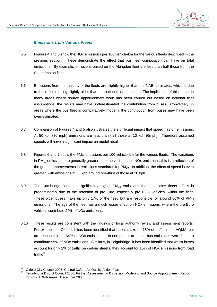### *Emissions from Various Fleets*

- 6.5 Figures 4 and 5 show the NOx emissions per 100 vehicle-km for the various fleets described in the previous section. These demonstrate the effect that bus fleet composition can have on total emissions. By example, emissions based on the Abingdon fleet are less than half those from the Southampton fleet.
- 6.6 Emissions from the majority of the fleets are slightly higher than the NAEI estimates, which is due to these fleets being slightly older than the national assumptions. The implication of this is that in many areas where source apportionment work has been carried out based on national fleet assumptions, the results may have underestimated the contribution from buses. Conversely, in areas where the bus fleet is comparatively modern, the contribution from buses may have been over-estimated.
- 6.7 Comparison of Figures 4 and 5 also illustrates the significant impact that speed has on emissions. At 50 kph (30 mph) emissions are less than half those at 10 kph (6mph). Therefore assumed speeds will have a significant impact on model results.
- 6.8 Figures 6 and 7 show the  $PM_{10}$  emissions per 100 vehicle-km for the various fleets. The variations in  $PM_{10}$  emissions are generally greater than the variations in NOx emissions; this is a reflection of the greater improvements in emissions standards for  $PM_{10}$ . In addition, the effect of speed is even greater, with emissions at 50 kph around one-third of those at 10 kph.
- 6.9 The Cambridge fleet has significantly higher  $PM_{10}$  emissions than the other fleets. This is predominantly due to the retention of pre-Euro, especially pre-1988 vehicles, within the fleet. These older buses make up only 17% of the fleet, but are responsible for around 60% of  $PM_{10}$ emissions. The age of the fleet has a much lesser effect on NOx emissions, where the pre-Euro vehicles contribute 24% of NOx emissions.
- 6.10 These results are consistent with the findings of local authority review and assessment reports. For example, in Oxford, it has been identified that buses make up 18% of traffic in the AQMA, but are responsible for 64% of NOx emissions<sup>11</sup>. In one particular street, bus emissions were found to contribute 95% of NOx emissions. Similarly, in Teignbridge, it has been identified that whilst buses account for only 2% of traffic on certain streets, they account for 15% of NOx emissions from road traffic<sup>12</sup>.

 $11$ <sup>11</sup> Oxford City Council 2006, Central Oxford Air Quality Action Plan

<sup>12</sup> Teignbridge District Council 2006, Further Assessment – Dispersion Modelling and Source Apportionment Report for Four AQMA Areas. December 2006.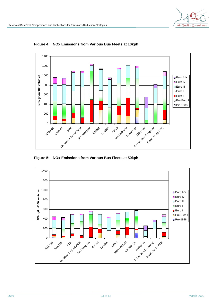

**Figure 4: NOx Emissions from Various Bus Fleets at 10kph** 

**Figure 5: NOx Emissions from Various Bus Fleets at 50kph** 

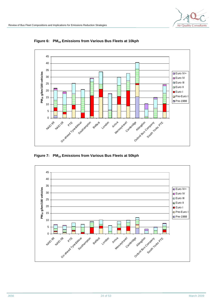

**Figure 6: PM<sup>10</sup> Emissions from Various Bus Fleets at 10kph** 

**Figure 7: PM<sup>10</sup> Emissions from Various Bus Fleets at 50kph** 

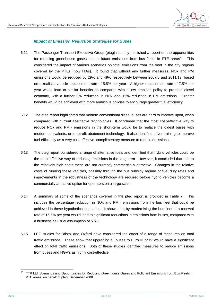### *Impact of Emission Reduction Strategies for Buses*

- 6.11 The Passenger Transport Executive Group (pteg) recently published a report on the opportunities for reducing greenhouse gases and pollutant emissions from bus fleets in PTE areas<sup>13</sup>. This considered the impact of various scenarios on total emissions from the fleet in the city regions covered by the PTEs (now ITAs). It found that without any further measures, NOx and PM emissions would be reduced by 29% and 49% respectively between 2007/8 and 2011/12, based on a realistic vehicle replacement rate of 5.5% per year. A higher replacement rate of 7.5% per year would lead to similar benefits as compared with a low ambition policy to promote diesel economy, with a further 9% reduction in NOx and 15% reduction in PM emissions. Greater benefits would be achieved with more ambitious policies to encourage greater fuel efficiency.
- 6.12 The pteg report highlighted that modern conventional diesel buses are hard to improve upon, when compared with current alternative technologies. It concluded that the most cost-effective way to reduce NOx and  $PM_{10}$  emissions in the short-term would be to replace the oldest buses with modern equivalents, or to retrofit abatement technology. It also identified driver training to improve fuel efficiency as a very cost effective, complimentary measure to reduce emissions.
- 6.13 The pteg report considered a range of alternative fuels and identified that hybrid vehicles could be the most effective way of reducing emissions in the long term. However, it concluded that due to the relatively high costs these are not currently commercially attractive. Changes in the relative costs of running these vehicles, possibly through the bus subsidy regime or fuel duty rates and improvements in the robustness of the technology are required before hybrid vehicles become a commercially attractive option for operators on a large scale.
- 6.14 A summary of some of the scenarios covered in the pteg report is provided in Table 7. This includes the percentage reduction in NOx and  $PM_{10}$  emissions from the bus fleet that could be achieved in these hypothetical scenarios. It shows that by modernising the bus fleet at a renewal rate of 16.5% per year would lead to significant reductions in emissions from buses, compared with a business as usual assumption of 5.5%.
- 6.15 LEZ studies for Bristol and Oxford have considered the effect of a range of measures on total traffic emissions. These show that upgrading all buses to Euro III or IV would have a significant effect on total traffic emissions. Both of these studies identified measures to reduce emissions from buses and HGV's as highly cost-effective.

<sup>13</sup> TTR Ltd, Scenarios and Opportunities for Reducing Greenhouse Gases and Pollutant Emissions from Bus Fleets in PTE areas, on behalf of pteg, December 2008.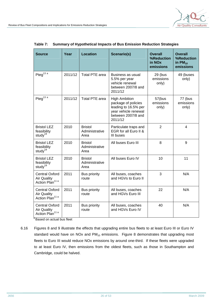| <b>Source</b>                                                              | Year    | <b>Location</b>                          | <b>Scenario(s)</b>                                                                                                           | <b>Overall</b><br>%Reduction<br>in NO <sub>x</sub><br>emissions | <b>Overall</b><br>%Reduction<br>in $PM_{10}$<br>emissions |
|----------------------------------------------------------------------------|---------|------------------------------------------|------------------------------------------------------------------------------------------------------------------------------|-----------------------------------------------------------------|-----------------------------------------------------------|
| Pteg <sup>13 a</sup>                                                       | 2011/12 | <b>Total PTE area</b>                    | Business as usual<br>5.5% per year<br>vehicle renewal<br>between 2007/8 and<br>2011/12                                       | 29 (bus<br>emissions<br>only)                                   | 49 (buses<br>only)                                        |
| Pteg <sup>13 a</sup>                                                       | 2011/12 | <b>Total PTE area</b>                    | <b>High Ambition</b><br>package of policies<br>leading to 16.5% per<br>year vehicle renewal<br>between 2007/8 and<br>2011/12 | 57(bus<br>emissions<br>only)                                    | 77 (bus<br>emissions<br>only)                             |
| <b>Bristol LEZ</b><br>feasibility<br>study <sup>19</sup>                   | 2010    | <b>Bristol</b><br>Administrative<br>Area | Particulate traps and<br>EGR for all Euro II &<br>III buses                                                                  | $\overline{2}$                                                  | $\overline{4}$                                            |
| <b>Bristol LEZ</b><br>feasibility<br>study <sup>19</sup>                   | 2010    | <b>Bristol</b><br>Administrative<br>Area | All buses Euro III                                                                                                           | 8                                                               | 9                                                         |
| <b>Bristol LEZ</b><br>feasibility<br>study <sup>19</sup>                   | 2010    | <b>Bristol</b><br>Administrative<br>Area | All buses Euro IV                                                                                                            | 10                                                              | 11                                                        |
| <b>Central Oxford</b><br><b>Air Quality</b><br>Action Plan <sup>11 a</sup> | 2011    | <b>Bus priority</b><br>route             | All buses, coaches<br>and HGVs to Euro II                                                                                    | 3                                                               | N/A                                                       |
| <b>Central Oxford</b><br><b>Air Quality</b><br>Action Plan <sup>11 a</sup> | 2011    | <b>Bus priority</b><br>route             | All buses, coaches<br>and HGVs Euro III                                                                                      | 22                                                              | N/A                                                       |
| <b>Central Oxford</b><br><b>Air Quality</b><br>Action Plan <sup>11 a</sup> | 2011    | <b>Bus priority</b><br>route             | All buses, coaches<br>and HGVs Euro IV                                                                                       | 40                                                              | N/A                                                       |

**Table 7: Summary of Hypothetical Impacts of Bus Emission Reduction Strategies** 

<sup>a</sup> Based on actual bus fleet

6.16 Figures 8 and 9 illustrate the effects that upgrading entire bus fleets to at least Euro III or Euro IV standard would have on NOx and  $PM_{10}$  emissions. Figure 8 demonstrates that upgrading most fleets to Euro III would reduce NOx emissions by around one-third. If these fleets were upgraded to at least Euro IV, then emissions from the oldest fleets, such as those in Southampton and Cambridge, could be halved.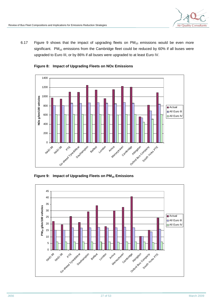6.17 Figure 9 shows that the impact of upgrading fleets on  $PM_{10}$  emissions would be even more significant.  $PM_{10}$  emissions from the Cambridge fleet could be reduced by 60% if all buses were upgraded to Euro III, or by 86% if all buses were upgraded to at least Euro IV.





**Figure 9: Impact of Upgrading Fleets on PM<sup>10</sup> Emissions** 

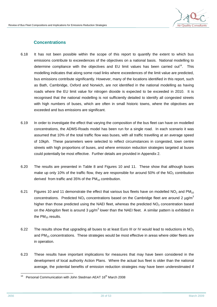

### **Concentrations**

- 6.18 It has not been possible within the scope of this report to quantify the extent to which bus emissions contribute to exceedences of the objectives on a national basis. National modelling to determine compliance with the objectives and EU limit values has been carried out<sup>14</sup>. This modelling indicates that along some road links where exceedences of the limit value are predicted, bus emissions contribute significantly. However, many of the locations identified in this report, such as Bath, Cambridge, Oxford and Norwich, are not identified in the national modelling as having roads where the EU limit value for nitrogen dioxide is expected to be exceeded in 2010. It is recognised that the national modelling is not sufficiently detailed to identify all congested streets with high numbers of buses, which are often in small historic towns, where the objectives are exceeded and bus emissions are significant.
- 6.19 In order to investigate the effect that varying the composition of the bus fleet can have on modelled concentrations, the ADMS-Roads model has been run for a single road. In each scenario it was assumed that 10% of the total traffic flow was buses, with all traffic travelling at an average speed of 10kph. These parameters were selected to reflect circumstances in congested, town centre streets with high proportions of buses, and where emission reduction strategies targeted at buses could potentially be most effective. Further details are provided in Appendix 2.
- 6.20 The results are presented in Table 8 and Figures 10 and 11. These show that although buses make up only 10% of the traffic flow, they are responsible for around 50% of the  $NO<sub>2</sub>$  contribution derived from traffic and 35% of the  $PM_{10}$  contribution.
- 6.21 Figures 10 and 11 demonstrate the effect that various bus fleets have on modelled  $NO<sub>2</sub>$  and PM<sub>10</sub> concentrations. Predicted  $NO<sub>2</sub>$  concentrations based on the Cambridge fleet are around 2  $\mu$ g/m<sup>3</sup> higher than those predicted using the NAEI fleet, whereas the predicted  $NO<sub>2</sub>$  concentration based on the Abingdon fleet is around 3  $\mu$ g/m<sup>3</sup> lower than the NAEI fleet. A similar pattern is exhibited in the  $PM_{10}$  results.
- 6.22 The results show that upgrading all buses to at least Euro III or IV would lead to reductions in NO<sub>2</sub> and  $PM_{10}$  concentrations. These strategies would be most effective in areas where older fleets are in operation.
- 6.23 These results have important implications for measures that may have been considered in the development of local authority Action Plans. Where the actual bus fleet is older than the national average, the potential benefits of emission reduction strategies may have been underestimated if

l  $14$  Personal Communication with John Stedman AEAT 16<sup>th</sup> March 2008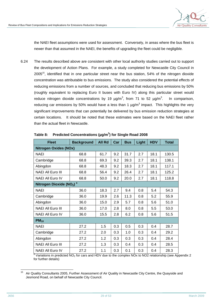

the NAEI fleet assumptions were used for assessment. Conversely, in areas where the bus fleet is newer than that assumed in the NAEI, the benefits of upgrading the fleet could be negligible.

6.24 The results described above are consistent with other local authority studies carried out to support the development of Action Plans. For example, a study completed for Newcastle City Council in 2005<sup>15</sup>, identified that in one particular street near the bus station, 54% of the nitrogen dioxide concentration was attributable to bus emissions. The study also considered the potential effects of reducing emissions from a number of sources, and concluded that reducing bus emissions by 50% (roughly equivalent to replacing Euro II buses with Euro IV) along this particular street would reduce nitrogen dioxide concentrations by 19  $\mu$ g/m<sup>3</sup>, from 71 to 52  $\mu$ g/m<sup>3</sup> . In comparison, reducing car emissions by 50% would have a less than 1  $\mu$ g/m<sup>3</sup> impact. This highlights the very significant improvements that can potentially be delivered by bus emission reduction strategies at certain locations. It should be noted that these estimates were based on the NAEI fleet rather than the actual fleet in Newcastle.

| <b>Fleet</b>                        | <b>Background</b> | <b>All Rd</b> | Car | <b>Bus</b> | Light | <b>HDV</b> | <b>Total</b> |
|-------------------------------------|-------------------|---------------|-----|------------|-------|------------|--------------|
| <b>Nitrogen Oxides (NOx)</b>        |                   |               |     |            |       |            |              |
| <b>NAEI</b>                         | 68.8              | 61.7          | 9.2 | 31.7       | 2.7   | 18.1       | 130.5        |
| Cambridge                           | 68.8              | 69.3          | 9.2 | 39.3       | 2.7   | 18.1       | 138.1        |
| Abingdon                            | 68.8              | 48.3          | 9.2 | 18.3       | 2.7   | 18.1       | 117.1        |
| <b>NAEI All Euro III</b>            | 68.8              | 56.4          | 9.2 | 26.4       | 2.7   | 18.1       | 125.2        |
| NAEI All Euro IV                    | 68.8              | 50.0          | 9.2 | 20.0       | 2.7   | 18.1       | 118.8        |
| Nitrogen Dioxide (NO2) <sup>a</sup> |                   |               |     |            |       |            |              |
| <b>NAEI</b>                         | 36.0              | 18.3          | 2.7 | 9.4        | 0.8   | 5.4        | 54.3         |
| Cambridge                           | 36.0              | 19.9          | 2.6 | 11.3       | 0.8   | 5.2        | 55.9         |
| Abingdon                            | 36.0              | 15.0          | 2.9 | 5.7        | 0.8   | 5.6        | 51.0         |
| <b>NAEI All Euro III</b>            | 36.0              | 17.0          | 2.8 | 8.0        | 0.8   | 5.5        | 53.0         |
| <b>NAEI All Euro IV</b>             | 36.0              | 15.5          | 2.8 | 6.2        | 0.8   | 5.6        | 51.5         |
| $PM_{10}$                           |                   |               |     |            |       |            |              |
| <b>NAEI</b>                         | 27.2              | 1.5           | 0.3 | 0.5        | 0.3   | 0.4        | 28.7         |
| Cambridge                           | 27.2              | 2.0           | 0.3 | 1.0        | 0.3   | 0.4        | 29.2         |
| Abingdon                            | 27.2              | 1.2           | 0.3 | 0.3        | 0.3   | 0.4        | 28.4         |
| <b>NAEI All Euro III</b>            | 27.2              | 1.3           | 0.3 | 0.4        | 0.3   | 0.4        | 28.5         |
| NAEI All Euro IV                    | 27.2              | 1.1           | 0.3 | 0.1        | 0.3   | 0.4        | 28.3         |

**Table 8: Predicted Concentrations (µg/m<sup>3</sup> ) for Single Road 2008** 

a Variations in predicted NO<sup>2</sup> for cars and HDV due to the complex NOx to NO2 relationship (see Appendix 2 for further details)

<sup>15</sup> Air Quality Consultants 2005, Further Assessment of Air Quality in Newcastle City Centre, the Quayside and Jesmond Road, on behalf of Newcastle City Council.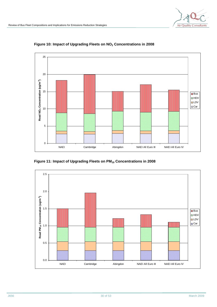

**Figure 10: Impact of Upgrading Fleets on NO2 Concentrations in 2008** 

**Figure 11: Impact of Upgrading Fleets on PM10 Concentrations in 2008** 

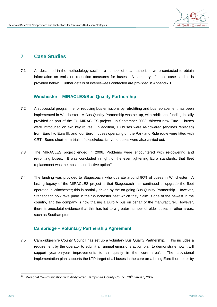

## **7 Case Studies**

7.1 As described in the methodology section, a number of local authorities were contacted to obtain information on emission reduction measures for buses. A summary of these case studies is provided below. Further details of interviewees contacted are provided in Appendix 1.

### **Winchester – MIRACLES/Bus Quality Partnership**

- 7.2 A successful programme for reducing bus emissions by retrofitting and bus replacement has been implemented in Winchester. A Bus Quality Partnership was set up, with additional funding initially provided as part of the EU MIRACLES project. In September 2003, thirteen new Euro III buses were introduced on two key routes. In addition, 10 buses were re-powered (engines replaced) from Euro I to Euro III, and four Euro II buses operating on the Park and Ride route were fitted with CRT. Some short-term trials of diesel/electric hybrid buses were also carried out.
- 7.3 The MIRACLES project ended in 2006. Problems were encountered with re-powering and retrofitting buses. It was concluded in light of the ever tightening Euro standards, that fleet replacement was the most cost effective option $16$ .
- 7.4 The funding was provided to Stagecoach, who operate around 90% of buses in Winchester. A lasting legacy of the MIRACLES project is that Stagecoach has continued to upgrade the fleet operated in Winchester; this is partially driven by the on-going Bus Quality Partnership. However, Stagecoach now take pride in their Winchester fleet which they claim is one of the newest in the country, and the company is now trialling a Euro V bus on behalf of the manufacturer. However, there is anecdotal evidence that this has led to a greater number of older buses in other areas, such as Southampton.

### **Cambridge – Voluntary Partnership Agreement**

7.5 Cambridgeshire County Council has set up a voluntary Bus Quality Partnership. This includes a requirement by the operator to submit an annual emissions action plan to demonstrate how it will support year-on-year improvements to air quality in the 'core area'. The provisional implementation plan supports the LTP target of all buses in the core area being Euro II or better by

<sup>16</sup> 16 Personal Communication with Andy Wren Hampshire County Council 20<sup>th</sup> January 2009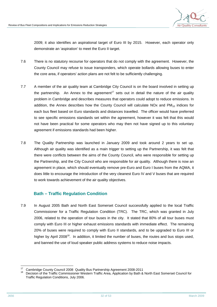

2009; it also identifies an aspirational target of Euro III by 2015. However, each operator only demonstrate an 'aspiration' to meet the Euro II target.

- 7.6 There is no statutory recourse for operators that do not comply with the agreement. However, the County Council may refuse to issue transponders, which operate bollards allowing buses to enter the core area, if operators' action plans are not felt to be sufficiently challenging.
- 7.7 A member of the air quality team at Cambridge City Council is on the board involved in setting up the partnership. An Annex to the agreement<sup>17</sup> sets out in detail the nature of the air quality problem in Cambridge and describes measures that operators could adopt to reduce emissions. In addition, the Annex describes how the County Council will calculate NOx and  $PM_{10}$  indices for each bus fleet based on Euro standards and distances travelled. The officer would have preferred to see specific emissions standards set within the agreement, however it was felt that this would not have been practical for some operators who may then not have signed up to this voluntary agreement if emissions standards had been higher.
- 7.8 The Quality Partnership was launched in January 2009 and took around 2 years to set up. Although air quality was identified as a main trigger to setting up the Partnership, it was felt that there were conflicts between the aims of the County Council, who were responsible for setting up the Partnership, and the City Council who are responsible for air quality. Although there is now an agreement in place, which should eventually remove pre-Euro and Euro I buses from the AQMA, it does little to encourage the introduction of the very cleanest Euro IV and V buses that are required to work towards achievement of the air quality objectives.

### **Bath – Traffic Regulation Condition**

7.9 In August 2005 Bath and North East Somerset Council successfully applied to the local Traffic Commissioner for a Traffic Regulation Condition (TRC). The TRC, which was granted in July 2006, related to the operation of tour buses in the city. It stated that 80% of all tour buses must comply with Euro III or higher exhaust emissions standards with immediate effect. The remaining 20% of buses were required to comply with Euro II standards, and to be upgraded to Euro III or higher by April 2008<sup>18</sup>. In addition, it limited the number of buses, the routes and bus stops used, and banned the use of loud speaker public address systems to reduce noise impacts.

 $17$ <sup>17</sup> Cambridge County Council 2008 Quality Bus Partnership Agreement 2008-2011

<sup>18</sup> Decision of the Traffic Commissioner Western Traffic Area, Application by Bath & North East Somerset Council for Traffic Regulation Conditions, July 2006.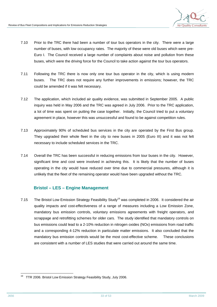

- 7.10 Prior to the TRC there had been a number of tour bus operators in the city. There were a large number of buses, with low occupancy rates. The majority of these were old buses which were pre-Euro I. The Council received a large number of complaints about noise and pollution from these buses, which were the driving force for the Council to take action against the tour bus operators.
- 7.11 Following the TRC there is now only one tour bus operator in the city, which is using modern buses. The TRC does not require any further improvements in emissions; however, the TRC could be amended if it was felt necessary.
- 7.12 The application, which included air quality evidence, was submitted in September 2005. A public inquiry was held in May 2006 and the TRC was agreed in July 2006. Prior to the TRC application, a lot of time was spent on putting the case together. Initially, the Council tried to put a voluntary agreement in place, however this was unsuccessful and found to be against competition rules.
- 7.13 Approximately 90% of scheduled bus services in the city are operated by the First Bus group. They upgraded their whole fleet in the city to new buses in 2005 (Euro III) and it was not felt necessary to include scheduled services in the TRC.
- 7.14 Overall the TRC has been successful in reducing emissions from tour buses in the city. However, significant time and cost were involved in achieving this. It is likely that the number of buses operating in the city would have reduced over time due to commercial pressures, although it is unlikely that the fleet of the remaining operator would have been upgraded without the TRC.

### **Bristol – LES – Engine Management**

7.15 The Bristol Low Emission Strategy Feasibility Study<sup>19</sup> was completed in 2006. It considered the air quality impacts and cost-effectiveness of a range of measures including a Low Emission Zone, mandatory bus emission controls, voluntary emissions agreements with freight operators, and scrappage and retrofitting schemes for older cars. The study identified that mandatory controls on bus emissions could lead to a 2-10% reduction in nitrogen oxides (NOx) emissions from road traffic and a corresponding 4-12% reduction in particulate matter emissions. It also concluded that the mandatory bus emission controls would be the most cost-effective scheme. These conclusions are consistent with a number of LES studies that were carried out around the same time.

l  $19$  TTR 2006. Bristol Low Emission Strategy Feasibility Study, July 2006.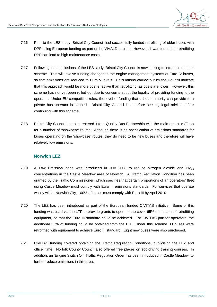

- 7.16 Prior to the LES study, Bristol City Council had successfully funded retrofitting of older buses with DPF using European funding as part of the VIVALDI project. However, it was found that retrofitting DPF can lead to high maintenance costs.
- 7.17 Following the conclusions of the LES study, Bristol City Council is now looking to introduce another scheme. This will involve funding changes to the engine management systems of Euro IV buses, so that emissions are reduced to Euro V levels. Calculations carried out by the Council indicate that this approach would be more cost effective than retrofitting, as costs are lower. However, this scheme has not yet been rolled out due to concerns about the legality of providing funding to the operator. Under EU competition rules, the level of funding that a local authority can provide to a private bus operator is capped. Bristol City Council is therefore seeking legal advice before continuing with this scheme.
- 7.18 Bristol City Council has also entered into a Quality Bus Partnership with the main operator (First) for a number of 'showcase' routes. Although there is no specification of emissions standards for buses operating on the 'showcase' routes, they do need to be new buses and therefore will have relatively low emissions.

### **Norwich LEZ**

- 7.19 A Low Emission Zone was introduced in July 2008 to reduce nitrogen dioxide and  $PM_{10}$ concentrations in the Castle Meadow area of Norwich. A Traffic Regulation Condition has been granted by the Traffic Commissioner, which specifies that certain proportions of an operators' fleet using Castle Meadow must comply with Euro III emissions standards. For services that operate wholly within Norwich City, 100% of buses must comply with Euro III by April 2010.
- 7.20 The LEZ has been introduced as part of the European funded CIVITAS initiative. Some of this funding was used via the LTP to provide grants to operators to cover 65% of the cost of retrofitting equipment, so that the Euro III standard could be achieved. For CIVITAS partner operators, the additional 35% of funding could be obtained from the EU. Under this scheme 30 buses were retrofitted with equipment to achieve Euro III standard. Eight new buses were also purchased.
- 7.21 CIVITAS funding covered obtaining the Traffic Regulation Conditions, publicising the LEZ and officer time. Norfolk County Council also offered free places on eco-driving training courses. In addition, an 'Engine Switch Off' Traffic Regulation Order has been introduced in Castle Meadow, to further reduce emissions in this area.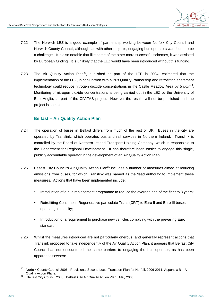

- 7.22 The Norwich LEZ is a good example of partnership working between Norfolk City Council and Norwich County Council, although, as with other projects, engaging bus operators was found to be a challenge. It is also notable that like some of the other more successful schemes, it was assisted by European funding. It is unlikely that the LEZ would have been introduced without this funding.
- 7.23 The Air Quality Action Plan<sup>20</sup>, published as part of the LTP in 2004, estimated that the implementation of the LEZ, in conjunction with a Bus Quality Partnership and retrofitting abatement technology could reduce nitrogen dioxide concentrations in the Castle Meadow Area by 5  $\mu$ g/m<sup>3</sup>. Monitoring of nitrogen dioxide concentrations is being carried out in the LEZ by the University of East Anglia, as part of the CIVITAS project. However the results will not be published until the project is complete.

### **Belfast – Air Quality Action Plan**

- 7.24 The operation of buses in Belfast differs from much of the rest of UK. Buses in the city are operated by Translink, which operates bus and rail services in Northern Ireland. Translink is controlled by the Board of Northern Ireland Transport Holding Company, which is responsible to the Department for Regional Development. It has therefore been easier to engage this single, publicly accountable operator in the development of an Air Quality Action Plan.
- 7.25 Belfast City Council's Air Quality Action Plan<sup>21</sup> includes a number of measures aimed at reducing emissions from buses, for which Translink was named as the 'lead authority' to implement these measures. Actions that have been implemented include:
	- Introduction of a bus replacement programme to reduce the average age of the fleet to 8 years;
	- Retrofitting Continuous Regenerative particulate Traps (CRT) to Euro II and Euro III buses operating in the city;
	- Introduction of a requirement to purchase new vehicles complying with the prevailing Euro standard.
- 7.26 Whilst the measures introduced are not particularly onerous, and generally represent actions that Translink proposed to take independently of the Air Quality Action Plan, it appears that Belfast City Council has not encountered the same barriers to engaging the bus operator, as has been apparent elsewhere.

<sup>20</sup> Norfolk County Council 2006. Provisional Second Local Transport Plan for Norfolk 2006-2011, Appendix B - Air Quality Action Plans.

<sup>&</sup>lt;sup>21</sup> Belfast City Council 2006. Belfast City Air Quality Action Plan. May 2006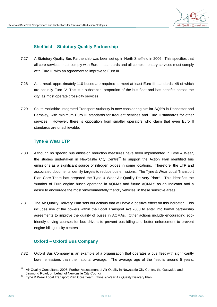### **Sheffield – Statutory Quality Partnership**

- 7.27 A Statutory Quality Bus Partnership was been set up in North Sheffield in 2006. This specifies that all core services must comply with Euro III standards and all complementary services must comply with Euro II, with an agreement to improve to Euro III.
- 7.28 As a result approximately 110 buses are required to meet at least Euro III standards, 48 of which are actually Euro IV. This is a substantial proportion of the bus fleet and has benefits across the city, as most operate cross-city services.
- 7.29 South Yorkshire Integrated Transport Authority is now considering similar SQP's in Doncaster and Barnsley, with minimum Euro III standards for frequent services and Euro II standards for other services. However, there is opposition from smaller operators who claim that even Euro II standards are unachievable.

### **Tyne & Wear LTP**

- 7.30 Although no specific bus emission reduction measures have been implemented in Tyne & Wear, the studies undertaken in Newcastle City Centre<sup>22</sup> to support the Action Plan identified bus emissions as a significant source of nitrogen oxides in some locations. Therefore, the LTP and associated documents identify targets to reduce bus emissions. The Tyne & Wear Local Transport Plan Core Team has prepared the Tyne & Wear Air Quality Delivery Plan<sup>23</sup>. This identifies the 'number of Euro engine buses operating in AQMAs and future AQMAs' as an Indicator and a desire to encourage the most 'environmentally friendly vehicles' in these sensitive areas.
- 7.31 The Air Quality Delivery Plan sets out actions that will have a positive effect on this indicator. This includes use of the powers within the Local Transport Act 2008 to enter into formal partnership agreements to improve the quality of buses in AQMAs. Other actions include encouraging ecofriendly driving courses for bus drivers to prevent bus idling and better enforcement to prevent engine idling in city centres.

### **Oxford – Oxford Bus Company**

7.32 Oxford Bus Company is an example of a organisation that operates a bus fleet with significantly lower emissions than the national average. The average age of the fleet is around 5 years,

<sup>22</sup> <sup>22</sup> Air Quality Consultants 2005, Further Assessment of Air Quality in Newcastle City Centre, the Quayside and Jesmond Road, on behalf of Newcastle City Council

 $^{23}$  Tyne & Wear Local Transport Plan Core Team. Tyne & Wear Air Quality Delivery Plan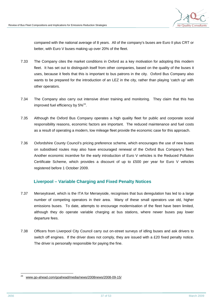

compared with the national average of 8 years. All of the company's buses are Euro II plus CRT or better, with Euro V buses making up over 20% of the fleet.

- 7.33 The Company cites the market conditions in Oxford as a key motivation for adopting this modern fleet. It has set out to distinguish itself from other companies, based on the quality of the buses it uses, because it feels that this is important to bus patrons in the city. Oxford Bus Company also wants to be prepared for the introduction of an LEZ in the city, rather than playing 'catch up' with other operators.
- 7.34 The Company also carry out intensive driver training and monitoring. They claim that this has improved fuel efficiency by  $5\%^{24}$ .
- 7.35 Although the Oxford Bus Company operates a high quality fleet for public and corporate social responsibility reasons, economic factors are important. The reduced maintenance and fuel costs as a result of operating a modern, low mileage fleet provide the economic case for this approach.
- 7.36 Oxfordshire County Council's pricing preference scheme, which encourages the use of new buses on subsidised routes may also have encouraged renewal of the Oxford Bus Company's fleet. Another economic incentive for the early introduction of Euro V vehicles is the Reduced Pollution Certificate Scheme, which provides a discount of up to £500 per year for Euro V vehicles registered before 1 October 2009.

### **Liverpool – Variable Charging and Fixed Penalty Notices**

- 7.37 Merseytravel, which is the ITA for Merseyside, recognises that bus deregulation has led to a large number of competing operators in their area. Many of these small operators use old, higher emissions buses. To date, attempts to encourage modernisation of the fleet have been limited, although they do operate variable charging at bus stations, where newer buses pay lower departure fees.
- 7.38 Officers from Liverpool City Council carry out on-street surveys of idling buses and ask drivers to switch off engines. If the driver does not comply, they are issued with a £20 fixed penalty notice. The driver is personally responsible for paying the fine.

<sup>-&</sup>lt;br>24 [www.go-ahead.com/goahead/media/news/2008news/2008-09-15/](http://www.go-ahead.com/goahead/media/news/2008news/2008-09-15/)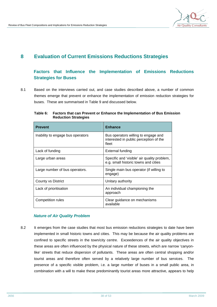

## **8 Evaluation of Current Emissions Reductions Strategies**

## **Factors that Influence the Implementation of Emissions Reductions Strategies for Buses**

8.1 Based on the interviews carried out, and case studies described above, a number of common themes emerge that prevent or enhance the implementation of emission reduction strategies for buses. These are summarised in Table 9 and discussed below.

| <b>Prevent</b>                    | <b>Enhance</b>                                                                         |
|-----------------------------------|----------------------------------------------------------------------------------------|
| Inability to engage bus operators | Bus operators willing to engage and<br>interested in public perception of the<br>fleet |
| Lack of funding                   | External funding                                                                       |
| Large urban areas                 | Specific and 'visible' air quality problem,<br>e.g. small historic towns and cities    |
| Large number of bus operators.    | Single main bus operator (if willing to<br>engage)                                     |
| <b>County vs District</b>         | Unitary authority                                                                      |
| Lack of prioritisation            | An individual championing the<br>approach                                              |
| Competition rules                 | Clear guidance on mechanisms<br>available                                              |

**Table 6: Factors that can Prevent or Enhance the Implementation of Bus Emission Reduction Strategies** 

#### *Nature of Air Quality Problem*

8.2 It emerges from the case studies that most bus emission reductions strategies to date have been implemented in small historic towns and cities. This may be because the air quality problems are confined to specific streets in the town/city centre. Exceedences of the air quality objectives in these areas are often influenced by the physical nature of these streets, which are narrow 'canyonlike' streets that reduce dispersion of pollutants. These areas are often central shopping and/or tourist areas and therefore often served by a relatively large number of bus services. The presence of a specific visible problem, i.e. a large number of buses in a small public area, in combination with a will to make these predominantly tourist areas more attractive, appears to help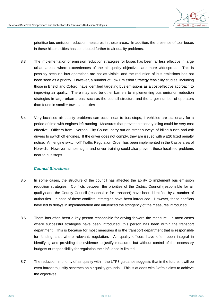

prioritise bus emission reduction measures in these areas. In addition, the presence of tour buses in these historic cities has contributed further to air quality problems.

- 8.3 The implementation of emission reduction strategies for buses has been far less effective in large urban areas, where exceedences of the air quality objectives are more widespread. This is possibly because bus operations are not as visible, and the reduction of bus emissions has not been seen as a priority. However, a number of Low Emission Strategy feasibility studies, including those in Bristol and Oxford, have identified targeting bus emissions as a cost-effective approach to improving air quality. There may also be other barriers to implementing bus emission reduction strategies in large urban areas, such as the council structure and the larger number of operators than found in smaller towns and cities.
- 8.4 Very localised air quality problems can occur near to bus stops, if vehicles are stationary for a period of time with engines left running. Measures that prevent stationary idling could be very cost effective. Officers from Liverpool City Council carry out on-street surveys of idling buses and ask drivers to switch off engines. If the driver does not comply, they are issued with a £20 fixed penalty notice. An 'engine switch-off' Traffic Regulation Order has been implemented in the Castle area of Norwich. However, simple signs and driver training could also prevent these localised problems near to bus stops.

### *Council Structures*

- 8.5 In some cases, the structure of the council has affected the ability to implement bus emission reduction strategies. Conflicts between the priorities of the District Council (responsible for air quality) and the County Council (responsible for transport) have been identified by a number of authorities. In spite of these conflicts, strategies have been introduced. However, these conflicts have led to delays in implementation and influenced the stringency of the measures introduced.
- 8.6 There has often been a key person responsible for driving forward the measure. In most cases where successful strategies have been introduced, this person has been within the transport department. This is because for most measures it is the transport department that is responsible for funding and, where relevant, regulation. Air quality officers have often been integral in identifying and providing the evidence to justify measures but without control of the necessary budgets or responsibility for regulation their influence is limited.
- 8.7 The reduction in priority of air quality within the LTP3 guidance suggests that in the future, it will be even harder to justify schemes on air quality grounds. This is at odds with Defra's aims to achieve the objectives.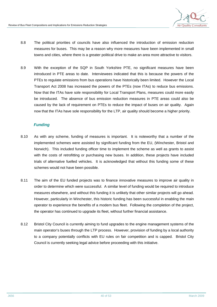

- 8.8 The political priorities of councils have also influenced the introduction of emission reduction measures for buses. This may be a reason why more measures have been implemented in small towns and cities, where there is a greater political drive to make an area more attractive to visitors.
- 8.9 With the exception of the SQP in South Yorkshire PTE, no significant measures have been introduced in PTE areas to date. Interviewees indicated that this is because the powers of the PTEs to regulate emissions from bus operations have historically been limited. However the Local Transport Act 2008 has increased the powers of the PTEs (now ITAs) to reduce bus emissions. Now that the ITAs have sole responsibility for Local Transport Plans, measures could more easily be introduced. The absence of bus emission reduction measures in PTE areas could also be caused by the lack of requirement on PTEs to reduce the impact of buses on air quality. Again now that the ITAs have sole responsibility for the LTP, air quality should become a higher priority.

### *Funding*

- 8.10 As with any scheme, funding of measures is important. It is noteworthy that a number of the implemented schemes were assisted by significant funding from the EU, (Winchester, Bristol and Norwich). This included funding officer time to implement the scheme as well as grants to assist with the costs of retrofitting or purchasing new buses. In addition, these projects have included trials of alternative fuelled vehicles. It is acknowledged that without this funding some of these schemes would not have been possible.
- 8.11 The aim of the EU funded projects was to finance innovative measures to improve air quality in order to determine which were successful. A similar level of funding would be required to introduce measures elsewhere, and without this funding it is unlikely that other similar projects will go ahead. However, particularly in Winchester, this historic funding has been successful in enabling the main operator to experience the benefits of a modern bus fleet. Following the completion of the project, the operator has continued to upgrade its fleet, without further financial assistance.
- 8.12 Bristol City Council is currently aiming to fund upgrades to the engine management systems of the main operator's buses through the LTP process. However, provision of funding by a local authority to a company potentially conflicts with EU rules on fair competition and is capped. Bristol City Council is currently seeking legal advice before proceeding with this initiative.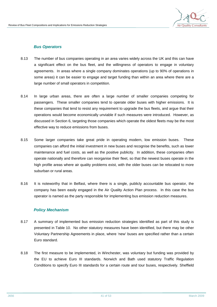

#### *Bus Operators*

- 8.13 The number of bus companies operating in an area varies widely across the UK and this can have a significant effect on the bus fleet, and the willingness of operators to engage in voluntary agreements. In areas where a single company dominates operations (up to 90% of operations in some areas) it can be easier to engage and target funding than within an area where there are a large number of small operators in competition.
- 8.14 In large urban areas, there are often a large number of smaller companies competing for passengers. These smaller companies tend to operate older buses with higher emissions. It is these companies that tend to resist any requirement to upgrade the bus fleets, and argue that their operations would become economically unviable if such measures were introduced. However, as discussed in Section 6, targeting those companies which operate the oldest fleets may be the most effective way to reduce emissions from buses.
- 8.15 Some larger companies take great pride in operating modern, low emission buses. These companies can afford the initial investment in new buses and recognise the benefits, such as lower maintenance and fuel costs, as well as the positive publicity. In addition, these companies often operate nationally and therefore can reorganise their fleet, so that the newest buses operate in the high profile areas where air quality problems exist, with the older buses can be relocated to more suburban or rural areas.
- 8.16 It is noteworthy that in Belfast, where there is a single, publicly accountable bus operator, the company has been easily engaged in the Air Quality Action Plan process. In this case the bus operator is named as the party responsible for implementing bus emission reduction measures.

#### *Policy Mechanism*

- 8.17 A summary of implemented bus emission reduction strategies identified as part of this study is presented in Table 10. No other statutory measures have been identified, but there may be other Voluntary Partnership Agreements in place, where 'new' buses are specified rather than a certain Euro standard.
- 8.18 The first measure to be implemented, in Winchester, was voluntary but funding was provided by the EU to achieve Euro III standards. Norwich and Bath used statutory Traffic Regulation Conditions to specify Euro III standards for a certain route and tour buses, respectively. Sheffield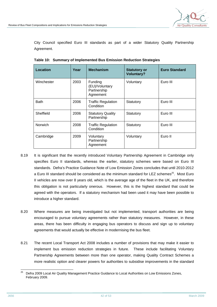City Council specified Euro III standards as part of a wider Statutory Quality Partnership Agreement.

| Location       | Year | <b>Mechanism</b>                                      | <b>Statutory or</b><br><b>Voluntary?</b> | <b>Euro Standard</b> |
|----------------|------|-------------------------------------------------------|------------------------------------------|----------------------|
| Winchester     | 2003 | Funding<br>(EU)/Voluntary<br>Partnership<br>Agreement | Voluntary                                | Euro III             |
| <b>Bath</b>    | 2006 | <b>Traffic Regulation</b><br>Condition                | Statutory                                | Euro III             |
| Sheffield      | 2006 | <b>Statutory Quality</b><br>Partnership               | Statutory                                | Euro III             |
| <b>Norwich</b> | 2008 | <b>Traffic Regulation</b><br>Condition                | Statutory                                | Euro III             |
| Cambridge      | 2009 | Voluntary<br>Partnership<br>Agreement                 | Voluntary                                | Euro II              |

**Table 10: Summary of Implemented Bus Emission Reduction Strategies** 

- 8.19 It is significant that the recently introduced Voluntary Partnership Agreement in Cambridge only specifies Euro II standards, whereas the earlier, statutory schemes were based on Euro III standards. Defra's Practice Guidance Note of Low Emission Zones concludes that until 2010-2012 a Euro III standard should be considered as the minimum standard for LEZ schemes<sup>25</sup>. Most Euro II vehicles are now over 8 years old, which is the average age of the fleet in the UK, and therefore this obligation is not particularly onerous. However, this is the highest standard that could be agreed with the operators. If a statutory mechanism had been used it may have been possible to introduce a higher standard.
- 8.20 Where measures are being investigated but not implemented, transport authorities are being encouraged to pursue voluntary agreements rather than statutory measures. However, in these areas, there has been difficulty in engaging bus operators to discuss and sign up to voluntary agreements that would actually be effective in modernising the bus fleet.
- 8.21 The recent Local Transport Act 2008 includes a number of provisions that may make it easier to implement bus emission reduction strategies in future. These include facilitating Voluntary Partnership Agreements between more than one operator, making Quality Contract Schemes a more realistic option and clearer powers for authorities to subsidise improvements in the standard

<sup>25</sup> <sup>25</sup> Defra 2009 Local Air Quality Management Practice Guidance to Local Authorities on Low Emissions Zones, February 2009.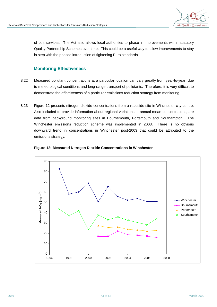

of bus services. The Act also allows local authorities to phase in improvements within statutory Quality Partnership Schemes over time. This could be a useful way to allow improvements to stay in step with the phased introduction of tightening Euro standards.

## **Monitoring Effectiveness**

- 8.22 Measured pollutant concentrations at a particular location can vary greatly from year-to-year, due to meteorological conditions and long-range transport of pollutants. Therefore, it is very difficult to demonstrate the effectiveness of a particular emissions reduction strategy from monitoring.
- 8.23 Figure 12 presents nitrogen dioxide concentrations from a roadside site in Winchester city centre. Also included to provide information about regional variations in annual mean concentrations, are data from background monitoring sites in Bournemouth, Portsmouth and Southampton. The Winchester emissions reduction scheme was implemented in 2003. There is no obvious downward trend in concentrations in Winchester post-2003 that could be attributed to the emissions strategy.



#### **Figure 12: Measured Nitrogen Dioxide Concentrations in Winchester**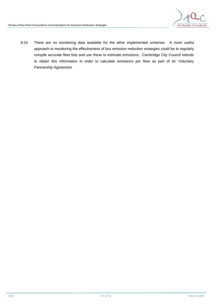

8.24 There are no monitoring data available for the other implemented schemes. A more useful approach to monitoring the effectiveness of bus emission reduction strategies could be to regularly compile accurate fleet lists and use these to estimate emissions. Cambridge City Council intends to obtain this information in order to calculate emissions per fleet as part of its' Voluntary Partnership Agreement.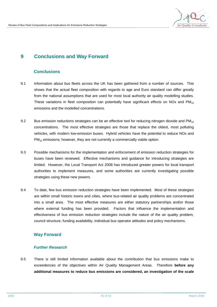

## **9 Conclusions and Way Forward**

### **Conclusions**

- 9.1 Information about bus fleets across the UK has been gathered from a number of sources. This shows that the actual fleet composition with regards to age and Euro standard can differ greatly from the national assumptions that are used for most local authority air quality modelling studies. These variations in fleet composition can potentially have significant effects on NOx and  $PM_{10}$ emissions and the modelled concentrations.
- 9.2 Bus emission reductions strategies can be an effective tool for reducing nitrogen dioxide and  $PM_{10}$ concentrations. The most effective strategies are those that replace the oldest, most polluting vehicles, with modern low-emission buses. Hybrid vehicles have the potential to reduce NOx and  $PM_{10}$  emissions; however, they are not currently a commercially viable option.
- 9.3 Possible mechanisms for the implementation and enforcement of emission reduction strategies for buses have been reviewed. Effective mechanisms and guidance for introducing strategies are limited. However, the Local Transport Act 2008 has introduced greater powers for local transport authorities to implement measures, and some authorities are currently investigating possible strategies using these new powers.
- 9.4 To date, few bus emission reduction strategies have been implemented. Most of these strategies are within small historic towns and cities, where bus-related air quality problems are concentrated into a small area. The most effective measures are either statutory partnerships and/or those where external funding has been provided. Factors that influence the implementation and effectiveness of bus emission reduction strategies include the nature of the air quality problem, council structure, funding availability, individual bus operator attitudes and policy mechanisms.

### **Way Forward**

#### *Further Research*

9.5 There is still limited information available about the contribution that bus emissions make to exceedences of the objectives within Air Quality Management Areas. Therefore **before any additional measures to reduce bus emissions are considered, an investigation of the scale**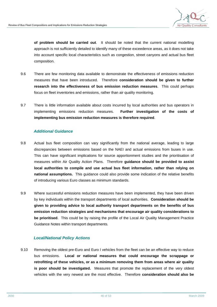

**of problem should be carried out**. It should be noted that the current national modelling approach is not sufficiently detailed to identify many of these exceedence areas, as it does not take into account specific local characteristics such as congestion, street canyons and actual bus fleet composition.

- 9.6 There are few monitoring data available to demonstrate the effectiveness of emissions reduction measures that have been introduced. Therefore **consideration should be given to further research into the effectiveness of bus emission reduction measures**. This could perhaps focus on fleet inventories and emissions, rather than air quality monitoring.
- 9.7 There is little information available about costs incurred by local authorities and bus operators in implementing emissions reduction measures. **Further investigation of the costs of implementing bus emission reduction measures is therefore required**.

### *Additional Guidance*

- 9.8 Actual bus fleet composition can vary significantly from the national average, leading to large discrepancies between emissions based on the NAEI and actual emissions from buses in use. This can have significant implications for source apportionment studies and the prioritisation of measures within Air Quality Action Plans. Therefore **guidance should be provided to assist local authorities to compile and use actual bus fleet information, rather than relying on national assumptions.** This guidance could also provide some indication of the relative benefits of introducing various Euro classes as minimum standards.
- 9.9 Where successful emissions reduction measures have been implemented, they have been driven by key individuals within the transport departments of local authorities. **Consideration should be given to providing advice to local authority transport departments on the benefits of bus emission reduction strategies and mechanisms that encourage air quality considerations to be prioritised**. This could be by raising the profile of the Local Air Quality Management Practice Guidance Notes within transport departments.

#### *Local/National Policy Actions*

9.10 Removing the oldest pre-Euro and Euro I vehicles from the fleet can be an effective way to reduce bus emissions. **Local or national measures that could encourage the scrappage or retrofitting of these vehicles, or as a minimum removing them from areas where air quality is poor should be investigated.** Measures that promote the replacement of the very oldest vehicles with the very newest are the most effective. Therefore **consideration should also be**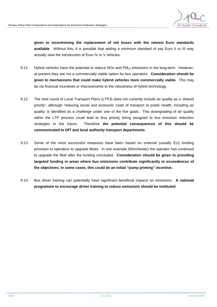

**given to incentivising the replacement of old buses with the newest Euro standards available**. Without this, it is possible that setting a minimum standard of say Euro II or III may actually slow the introduction of Euro IV or V vehicles.

- 9.11 Hybrid vehicles have the potential to reduce NOx and  $PM_{10}$  emissions in the long-term. However, at present they are not a commercially viable option for bus operators. **Consideration should be given to mechanisms that could make hybrid vehicles more commercially viable.** This may be via financial incentives or improvements to the robustness of hybrid technology.
- 9.12 The next round of Local Transport Plans (LTP3) does not currently include air quality as a 'shared priority', although 'reducing social and economic costs of transport to public health, including air quality' is identified as a challenge under one of the five goals. This downgrading of air quality within the LTP process could lead to less priority being assigned to bus emission reduction strategies in the future. Therefore **the potential consequences of this should be communicated to DfT and local authority transport departments**.
- 9.13 Some of the most successful measures have been based on external (usually EU) funding provision to operators to upgrade fleets. In one example (Winchester) the operator has continued to upgrade the fleet after the funding concluded. **Consideration should be given to providing targeted funding in areas where bus emissions contribute significantly to exceedences of the objectives; in some cases, this could be an initial "pump priming" incentive.**
- 9.14 Bus driver training can potentially have significant beneficial impacts on emissions. **A national programme to encourage driver training to reduce emissions should be instituted**.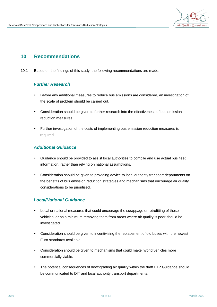

## **10 Recommendations**

10.1 Based on the findings of this study, the following recommendations are made:

### *Further Research*

- Before any additional measures to reduce bus emissions are considered, an investigation of the scale of problem should be carried out.
- Consideration should be given to further research into the effectiveness of bus emission reduction measures.
- Further investigation of the costs of implementing bus emission reduction measures is required.

### *Additional Guidance*

- Guidance should be provided to assist local authorities to compile and use actual bus fleet information, rather than relying on national assumptions.
- Consideration should be given to providing advice to local authority transport departments on the benefits of bus emission reduction strategies and mechanisms that encourage air quality considerations to be prioritised.

### *Local/National Guidance*

- Local or national measures that could encourage the scrappage or retrofitting of these vehicles, or as a minimum removing them from areas where air quality is poor should be investigated.
- Consideration should be given to incentivising the replacement of old buses with the newest Euro standards available.
- Consideration should be given to mechanisms that could make hybrid vehicles more commercially viable.
- The potential consequences of downgrading air quality within the draft LTP Guidance should be communicated to DfT and local authority transport departments.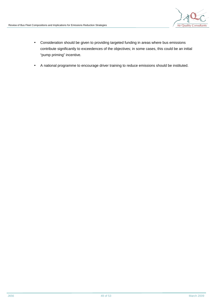

- Consideration should be given to providing targeted funding in areas where bus emissions contribute significantly to exceedences of the objectives; in some cases, this could be an initial "pump priming" incentive.
- A national programme to encourage driver training to reduce emissions should be instituted.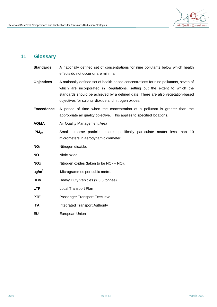

## **11 Glossary**

- **Standards** A nationally defined set of concentrations for nine pollutants below which health effects do not occur or are minimal.
- **Objectives** A nationally defined set of health-based concentrations for nine pollutants, seven of which are incorporated in Regulations, setting out the extent to which the standards should be achieved by a defined date. There are also vegetation-based objectives for sulphur dioxide and nitrogen oxides.
- **Exceedence** A period of time when the concentration of a pollutant is greater than the appropriate air quality objective. This applies to specified locations.
- **AQMA** Air Quality Management Area
- **PM<sup>10</sup>** Small airborne particles, more specifically particulate matter less than 10 micrometers in aerodynamic diameter.
- **NO<sup>2</sup>** Nitrogen dioxide.
- **NO** Nitric oxide.
- **NOx** Nitrogen oxides (taken to be  $NO<sub>2</sub> + NO$ ).
- **mg/m<sup>3</sup>** Microgrammes per cubic metre.
- **HDV Heavy Duty Vehicles (> 3.5 tonnes)**
- **LTP** Local Transport Plan
- **PTE** Passenger Transport Executive
- **ITA Integrated Transport Authority**
- **EU** European Union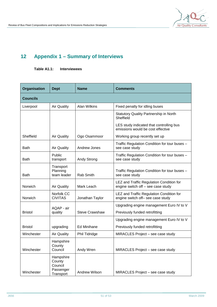

# **12 Appendix 1 – Summary of Interviews**

**Table A1.1: Interviewees** 

| <b>Organisation</b> | <b>Dept</b>                                              | <b>Name</b>           | <b>Comments</b>                                                                |
|---------------------|----------------------------------------------------------|-----------------------|--------------------------------------------------------------------------------|
| <b>Councils</b>     |                                                          |                       |                                                                                |
| Liverpool           | <b>Air Quality</b>                                       | <b>Alan Wilkins</b>   | Fixed penalty for idling buses                                                 |
|                     |                                                          |                       | <b>Statutory Quality Partnership in North</b><br>Sheffield                     |
|                     |                                                          |                       | LES study indicated that controlling bus<br>emissions would be cost effective  |
| Sheffield           | <b>Air Quality</b>                                       | Ogo Osammoor          | Working group recently set up                                                  |
| <b>Bath</b>         | <b>Air Quality</b>                                       | Andrew Jones          | Traffic Regulation Condition for tour buses -<br>see case study                |
| <b>Bath</b>         | Public<br>transport                                      | Andy Strong           | Traffic Regulation Condition for tour buses -<br>see case study                |
| <b>Bath</b>         | Transport<br>Planning<br>team leader                     | Rab Smith             | Traffic Regulation Condition for tour buses -<br>see case study                |
| Norwich             | <b>Air Quality</b>                                       | Mark Leach            | LEZ and Traffic Regulation Condition for<br>engine switch off - see case study |
| Norwich             | Norfolk CC<br><b>CIVITAS</b>                             | Jonathan Taylor       | LEZ and Traffic Regulation Condition for<br>engine switch off- see case study  |
|                     | AQAP - air                                               |                       | Upgrading engine management Euro IV to V                                       |
| <b>Bristol</b>      | quality                                                  | <b>Steve Crawshaw</b> | Previously funded retrofitting                                                 |
|                     |                                                          |                       | Upgrading engine management Euro IV to V                                       |
| <b>Bristol</b>      | upgrading                                                | <b>Ed Minihane</b>    | Previously funded retrofitting                                                 |
| Winchester          | <b>Air Quality</b>                                       | Phil Tidridge         | MIRACLES Project - see case study                                              |
| Winchester          | Hampshire<br>County<br>Council                           | Andy Wren             | MIRACLES Project - see case study                                              |
| Winchester          | Hampshire<br>County<br>Council<br>Passenger<br>Transport | Andrew Wilson         | MIRACLES Project - see case study                                              |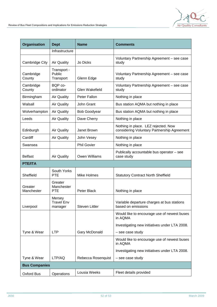

| <b>Organisation</b>   | <b>Dept</b>                         | <b>Name</b>           | <b>Comments</b>                                                                    |
|-----------------------|-------------------------------------|-----------------------|------------------------------------------------------------------------------------|
|                       | Infrastructure                      |                       |                                                                                    |
| Cambridge City        | <b>Air Quality</b>                  | Jo Dicks              | Voluntary Partnership Agreement - see case<br>study                                |
| Cambridge<br>County   | Transport -<br>Public<br>Transport  | Glenn Edge            | Voluntary Partnership Agreement - see case<br>study                                |
| Cambridge<br>County   | BQP co-<br>ordinator                | <b>Glen Wakefield</b> | Voluntary Partnership Agreement - see case<br>study                                |
| Birmingham            | <b>Air Quality</b>                  | Peter Fallon          | Nothing in place                                                                   |
| Walsall               | <b>Air Quality</b>                  | John Grant            | Bus station AQMA but nothing in place                                              |
| Wolverhampton         | <b>Air Quality</b>                  | <b>Bob Goodyear</b>   | Bus station AQMA but nothing in place                                              |
| Leeds                 | <b>Air Quality</b>                  | Dave Cherry           | Nothing in place                                                                   |
| Edinburgh             | <b>Air Quality</b>                  | Janet Brown           | Nothing in place. LEZ rejected. Now<br>considering Voluntary Partnership Agreement |
| Cardiff               | <b>Air Quality</b>                  | John Vesey            | Nothing in place                                                                   |
| Swansea               |                                     | <b>Phil Govier</b>    | Nothing in place                                                                   |
| <b>Belfast</b>        | <b>Air Quality</b>                  | Owen Williams         | Publically accountable bus operator - see<br>case study                            |
| <b>PTE/ITA</b>        |                                     |                       |                                                                                    |
| Sheffield             | South Yorks<br><b>PTE</b>           | <b>Mike Holmes</b>    | <b>Statutory Contract North Sheffield</b>                                          |
| Greater<br>Manchester | Greater<br>Manchester<br><b>PTE</b> | Peter Black           | Nothing in place                                                                   |
| Liverpool             | Mersey<br>Travel Env<br>manager     | <b>Steven Littler</b> | Variable departure charges at bus stations<br>based on emissions                   |
|                       |                                     |                       | Would like to encourage use of newest buses<br>in AQMA                             |
|                       |                                     |                       | Investigating new initiatives under LTA 2008.                                      |
| Tyne & Wear           | <b>LTP</b>                          | Gary McDonald         | - see case study                                                                   |
|                       |                                     |                       | Would like to encourage use of newest buses<br>in AQMA                             |
|                       |                                     |                       | Investigating new initiatives under LTA 2008.                                      |
| Tyne & Wear           | LTP/AQ                              | Rebecca Rosenquist    | - see case study                                                                   |
| <b>Bus Companies</b>  |                                     |                       |                                                                                    |
| Oxford Bus            | Operations                          | Lousia Weeks          | Fleet details provided                                                             |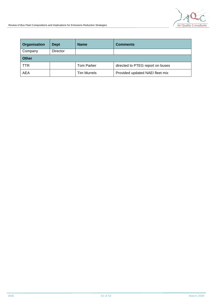

| <b>Organisation</b> | <b>Dept</b>     | <b>Name</b>        | <b>Comments</b>                  |
|---------------------|-----------------|--------------------|----------------------------------|
| Company             | <b>Director</b> |                    |                                  |
| <b>Other</b>        |                 |                    |                                  |
| <b>TTR</b>          |                 | <b>Tom Parker</b>  | directed to PTEG report on buses |
| AEA                 |                 | <b>Tim Murrels</b> | Provided updated NAEI fleet mix  |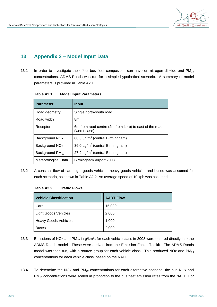

## **13 Appendix 2 – Model Input Data**

13.1 In order to investigate the effect bus fleet composition can have on nitrogen dioxide and  $PM_{10}$ concentrations, ADMS-Roads was run for a simple hypothetical scenario. A summary of model parameters is provided in Table A2.1.

| <b>Parameter</b>            | <b>Input</b>                                                            |
|-----------------------------|-------------------------------------------------------------------------|
| Road geometry               | Single north-south road                                                 |
| Road width                  | 8m                                                                      |
| Receptor                    | 6m from road centre (2m from kerb) to east of the road<br>(worst-case). |
| Background NO <sub>x</sub>  | 68.8 $\mu$ g/m <sup>3</sup> (central Birmingham)                        |
| Background NO <sub>2</sub>  | 36.0 $\mu$ g/m <sup>3</sup> (central Birmingham)                        |
| Background PM <sub>10</sub> | 27.2 $\mu$ g/m <sup>3</sup> (central Birmingham)                        |
| Meteorological Data         | Birmingham Airport 2008                                                 |

13.2 A constant flow of cars, light goods vehicles, heavy goods vehicles and buses was assumed for each scenario, as shown in Table A2.2. An average speed of 10 kph was assumed.

#### **Table A2.2: Traffic Flows**

| <b>Vehicle Classification</b> | <b>AADT Flow</b> |
|-------------------------------|------------------|
| Cars                          | 15,000           |
| <b>Light Goods Vehicles</b>   | 2,000            |
| <b>Heavy Goods Vehicles</b>   | 1,000            |
| <b>Buses</b>                  | 2,000            |

- 13.3 Emissions of NOx and PM<sub>10</sub> in g/km/s for each vehicle class in 2008 were entered directly into the ADMS-Roads model. These were derived from the Emission Factor Toolkit. The ADMS-Roads model was then run, with a source group for each vehicle class. This produced NOx and  $PM_{10}$ concentrations for each vehicle class, based on the NAEI.
- 13.4 To determine the NOx and  $PM_{10}$  concentrations for each alternative scenario, the bus NOx and PM<sub>10</sub> concentrations were scaled in proportion to the bus fleet emission rates from the NAEI. For